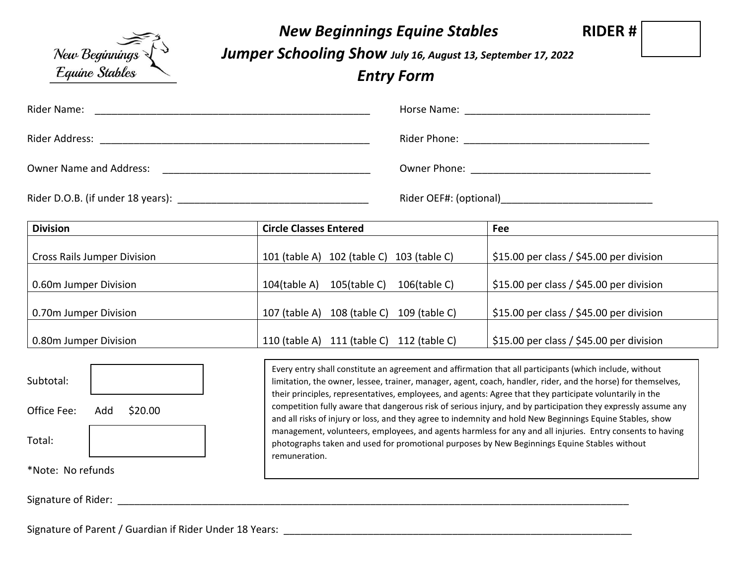

## *New Beginnings Equine Stables* **RIDER #**

*Jumper Schooling Show July 16, August 13, September 17, 2022*

*Entry Form*

| Rider Name:                    |                                                      |
|--------------------------------|------------------------------------------------------|
| Rider Address:                 | Rider Phone: <u>________________________________</u> |
| <b>Owner Name and Address:</b> |                                                      |
|                                | Rider OEF#: (optional)______________________________ |

| <b>Division</b>                    | <b>Circle Classes Entered</b>                         | Fee                                      |
|------------------------------------|-------------------------------------------------------|------------------------------------------|
|                                    |                                                       |                                          |
| <b>Cross Rails Jumper Division</b> | 102 (table C) 103 (table C)<br>$101$ (table A)        | \$15.00 per class / \$45.00 per division |
|                                    |                                                       |                                          |
| 0.60m Jumper Division              | $105$ (table C)<br>$104$ (table A)<br>$106$ (table C) | \$15.00 per class / \$45.00 per division |
|                                    |                                                       |                                          |
| 0.70m Jumper Division              | 108 (table C)<br>109 (table C)<br>107 (table $A$ )    | \$15.00 per class / \$45.00 per division |
|                                    |                                                       |                                          |
| 0.80m Jumper Division              | 111 (table C) 112 (table C)<br>110 (table $A$ )       | \$15.00 per class / \$45.00 per division |



Every entry shall constitute an agreement and affirmation that all participants (which include, without limitation, the owner, lessee, trainer, manager, agent, coach, handler, rider, and the horse) for themselves, their principles, representatives, employees, and agents: Agree that they participate voluntarily in the competition fully aware that dangerous risk of serious injury, and by participation they expressly assume any and all risks of injury or loss, and they agree to indemnity and hold New Beginnings Equine Stables, show management, volunteers, employees, and agents harmless for any and all injuries. Entry consents to having photographs taken and used for promotional purposes by New Beginnings Equine Stables without remuneration.

Signature of Rider: \_\_\_\_\_\_\_\_\_\_\_\_\_\_\_\_\_\_\_\_\_\_\_\_\_\_\_\_\_\_\_\_\_\_\_\_\_\_\_\_\_\_\_\_\_\_\_\_\_\_\_\_\_\_\_\_\_\_\_\_\_\_\_\_\_\_\_\_\_\_\_\_\_\_\_\_\_\_\_\_\_\_\_\_\_\_\_\_\_\_\_

Signature of Parent / Guardian if Rider Under 18 Years: \_\_\_\_\_\_\_\_\_\_\_\_\_\_\_\_\_\_\_\_\_\_\_\_\_\_\_\_\_\_\_\_\_\_\_\_\_\_\_\_\_\_\_\_\_\_\_\_\_\_\_\_\_\_\_\_\_\_\_\_\_\_